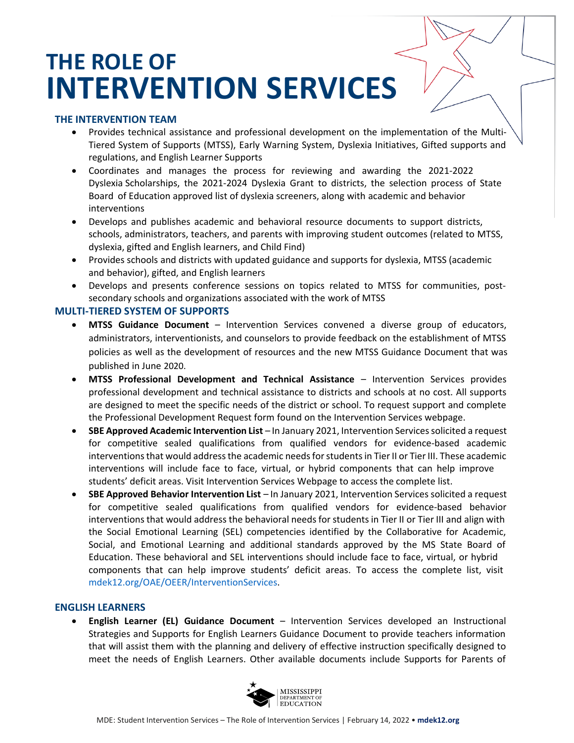# **THE ROLE OF INTERVENTION SERVICES**

### **THE INTERVENTION TEAM**

- Provides technical assistance and professional development on the implementation of the Multi-Tiered System of Supports (MTSS), Early Warning System, Dyslexia Initiatives, Gifted supports and regulations, and English Learner Supports
- Coordinates and manages the process for reviewing and awarding the 2021-2022 Dyslexia Scholarships, the 2021-2024 Dyslexia Grant to districts, the selection process of State Board of Education approved list of dyslexia screeners, along with academic and behavior interventions
- Develops and publishes academic and behavioral resource documents to support districts, schools, administrators, teachers, and parents with improving student outcomes (related to MTSS, dyslexia, gifted and English learners, and Child Find)
- Provides schools and districts with updated guidance and supports for dyslexia, MTSS (academic and behavior), gifted, and English learners
- Develops and presents conference sessions on topics related to MTSS for communities, postsecondary schools and organizations associated with the work of MTSS

# **MULTI-TIERED SYSTEM OF SUPPORTS**

- **MTSS Guidance Document** Intervention Services convened a diverse group of educators, administrators, interventionists, and counselors to provide feedback on the establishment of MTSS policies as well as the development of resources and the new MTSS Guidance Document that was published in June 2020.
- **MTSS Professional Development and Technical Assistance** Intervention Services provides professional development and technical assistance to districts and schools at no cost. All supports are designed to meet the specific needs of the district or school. To request support and complete the Professional Development Request form found on the Intervention Services webpage.
- **SBE Approved Academic Intervention List**  In January 2021, Intervention Services solicited a request for competitive sealed qualifications from qualified vendors for evidence-based academic interventions that would address the academic needs for students in Tier II or Tier III. These academic interventions will include face to face, virtual, or hybrid components that can help improve students' deficit areas. Visit Intervention Services Webpage to access the complete list.
- **SBE Approved Behavior Intervention List** In January 2021, Intervention Services solicited a request for competitive sealed qualifications from qualified vendors for evidence-based behavior interventions that would address the behavioral needs for students in Tier II or Tier III and align with the Social Emotional Learning (SEL) competencies identified by the Collaborative for Academic, Social, and Emotional Learning and additional standards approved by the MS State Board of Education. These behavioral and SEL interventions should include face to face, virtual, or hybrid components that can help improve students' deficit areas. To access the complete list, visit [mdek12.org/OAE/OEER/InterventionServices.](https://www.mdek12.org/OAE/OEER/InterventionServices)

# **ENGLISH LEARNERS**

• **English Learner (EL) Guidance Document** – Intervention Services developed an Instructional Strategies and Supports for English Learners Guidance Document to provide teachers information that will assist them with the planning and delivery of effective instruction specifically designed to meet the needs of English Learners. Other available documents include Supports for Parents of

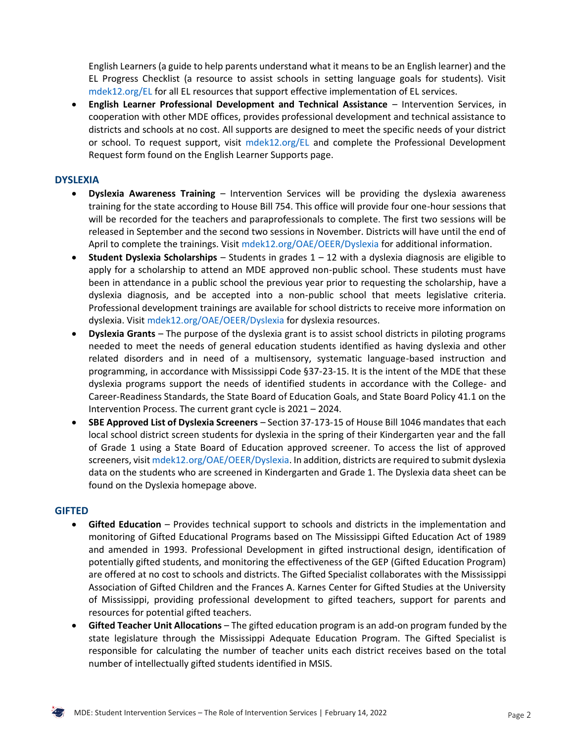English Learners (a guide to help parents understand what it means to be an English learner) and the EL Progress Checklist (a resource to assist schools in setting language goals for students). Visit [mdek12.org/EL](http://www.mdek12.org/EL) for all EL resources that support effective implementation of EL services.

• **English Learner Professional Development and Technical Assistance** – Intervention Services, in cooperation with other MDE offices, provides professional development and technical assistance to districts and schools at no cost. All supports are designed to meet the specific needs of your district or school. To request support, visit [mdek12.org/EL](https://www.mdek12.org/EL) and complete the Professional Development Request form found on the English Learner Supports page.

### **DYSLEXIA**

- **Dyslexia Awareness Training** Intervention Services will be providing the dyslexia awareness training for the state according to House Bill 754. This office will provide four one-hour sessions that will be recorded for the teachers and paraprofessionals to complete. The first two sessions will be released in September and the second two sessions in November. Districts will have until the end of April to complete the trainings. Visit [mdek12.org/OAE/OEER/Dyslexia](https://mdek12.org/OAE/OEER/Dyslexia) for additional information.
- **Student Dyslexia Scholarships** Students in grades 1 12 with a dyslexia diagnosis are eligible to apply for a scholarship to attend an MDE approved non-public school. These students must have been in attendance in a public school the previous year prior to requesting the scholarship, have a dyslexia diagnosis, and be accepted into a non-public school that meets legislative criteria. Professional development trainings are available for school districts to receive more information on dyslexia. Visit [mdek12.org/OAE/OEER/Dyslexia](http://www.mdek12.org/OAE/OEER/Dyslexia) for dyslexia resources.
- **Dyslexia Grants** The purpose of the dyslexia grant is to assist school districts in piloting programs needed to meet the needs of general education students identified as having dyslexia and other related disorders and in need of a multisensory, systematic language-based instruction and programming, in accordance with Mississippi Code §37-23-15. It is the intent of the MDE that these dyslexia programs support the needs of identified students in accordance with the College- and Career-Readiness Standards, the State Board of Education Goals, and State Board Policy 41.1 on the Intervention Process. The current grant cycle is 2021 – 2024.
- **SBE Approved List of Dyslexia Screeners** Section 37-173-15 of House Bill 1046 mandates that each local school district screen students for dyslexia in the spring of their Kindergarten year and the fall of Grade 1 using a State Board of Education approved screener. To access the list of approved screeners, visi[t mdek12.org/OAE/OEER/Dyslexia.](http://www.mdek12.org/OAE/OEER/Dyslexia) In addition, districts are required to submit dyslexia data on the students who are screened in Kindergarten and Grade 1. The Dyslexia data sheet can be found on the Dyslexia homepage above.

#### **GIFTED**

- **Gifted Education**  Provides technical support to schools and districts in the implementation and monitoring of Gifted Educational Programs based on The Mississippi Gifted Education Act of 1989 and amended in 1993. Professional Development in gifted instructional design, identification of potentially gifted students, and monitoring the effectiveness of the GEP (Gifted Education Program) are offered at no cost to schools and districts. The Gifted Specialist collaborates with the Mississippi Association of Gifted Children and the Frances A. Karnes Center for Gifted Studies at the University of Mississippi, providing professional development to gifted teachers, support for parents and resources for potential gifted teachers.
- **Gifted Teacher Unit Allocations**  The gifted education program is an add-on program funded by the state legislature through the Mississippi Adequate Education Program. The Gifted Specialist is responsible for calculating the number of teacher units each district receives based on the total number of intellectually gifted students identified in MSIS.